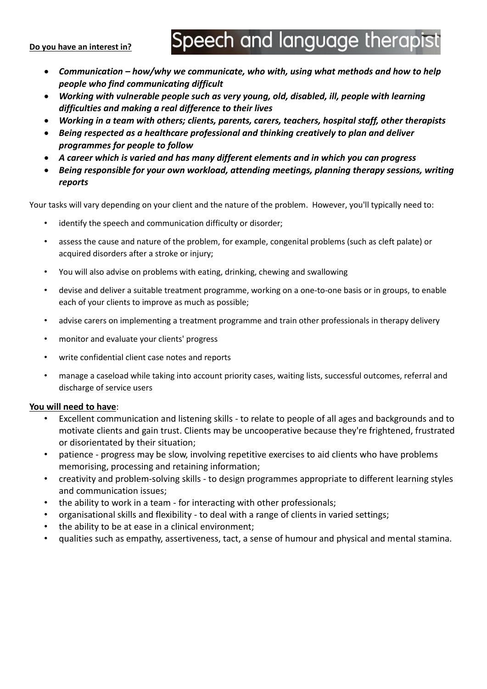#### **Do you have an interest in?**

# Speech and language therapist

- *Communication – how/why we communicate, who with, using what methods and how to help people who find communicating difficult*
- *Working with vulnerable people such as very young, old, disabled, ill, people with learning difficulties and making a real difference to their lives*
- *Working in a team with others; clients, parents, carers, teachers, hospital staff, other therapists*
- *Being respected as a healthcare professional and thinking creatively to plan and deliver programmes for people to follow*
- *A career which is varied and has many different elements and in which you can progress*
- *Being responsible for your own workload, attending meetings, planning therapy sessions, writing reports*

Your tasks will vary depending on your client and the nature of the problem. However, you'll typically need to:

- identify the speech and communication difficulty or disorder;
- assess the cause and nature of the problem, for example, congenital problems (such as cleft palate) or acquired disorders after a stroke or injury;
- You will also advise on problems with eating, drinking, chewing and swallowing
- devise and deliver a suitable treatment programme, working on a one-to-one basis or in groups, to enable each of your clients to improve as much as possible;
- advise carers on implementing a treatment programme and train other professionals in therapy delivery
- monitor and evaluate your clients' progress
- write confidential client case notes and reports
- manage a caseload while taking into account priority cases, waiting lists, successful outcomes, referral and discharge of service users

## **You will need to have**:

- Excellent communication and listening skills to relate to people of all ages and backgrounds and to motivate clients and gain trust. Clients may be uncooperative because they're frightened, frustrated or disorientated by their situation;
- patience progress may be slow, involving repetitive exercises to aid clients who have problems memorising, processing and retaining information;
- creativity and problem-solving skills to design programmes appropriate to different learning styles and communication issues;
- the ability to work in a team for interacting with other professionals;
- organisational skills and flexibility to deal with a range of clients in varied settings;
- the ability to be at ease in a clinical environment;
- qualities such as empathy, assertiveness, tact, a sense of humour and physical and mental stamina.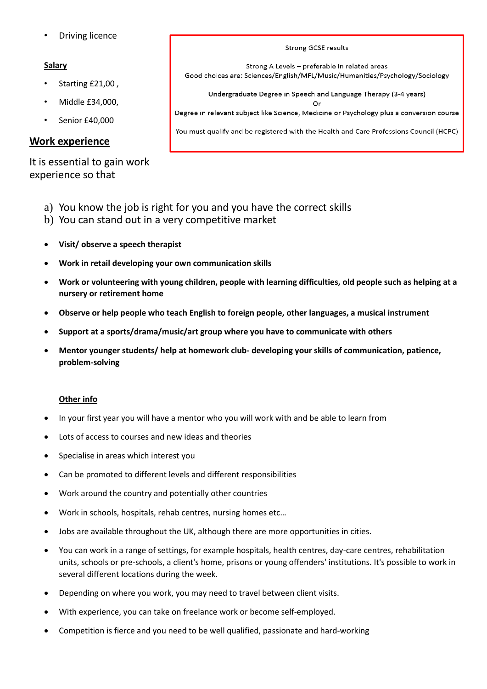• Driving licence

## **Salary**

- Starting £21,00 ,
- Middle £34,000,
- Senior £40,000

## **Work experience**

It is essential to gain work experience so that

- a) You know the job is right for you and you have the correct skills
- b) You can stand out in a very competitive market
- **Visit/ observe a speech therapist**
- **Work in retail developing your own communication skills**
- **Work or volunteering with young children, people with learning difficulties, old people such as helping at a nursery or retirement home**
- **Observe or help people who teach English to foreign people, other languages, a musical instrument**
- **Support at a sports/drama/music/art group where you have to communicate with others**
- **Mentor younger students/ help at homework club- developing your skills of communication, patience, problem-solving**

#### **Other info**

- In your first year you will have a mentor who you will work with and be able to learn from
- Lots of access to courses and new ideas and theories
- Specialise in areas which interest you
- Can be promoted to different levels and different responsibilities
- Work around the country and potentially other countries
- Work in schools, hospitals, rehab centres, nursing homes etc…
- Jobs are available throughout the UK, although there are more opportunities in cities.
- You can work in a range of settings, for example hospitals, health centres, day-care centres, rehabilitation units, schools or pre-schools, a client's home, prisons or young offenders' institutions. It's possible to work in several different locations during the week.
- Depending on where you work, you may need to travel between client visits.
- With experience, you can take on freelance work or become self-employed.
- Competition is fierce and you need to be well qualified, passionate and hard-working

Strong A Levels - preferable in related areas Good choices are: Sciences/English/MFL/Music/Humanities/Psychology/Sociology Undergraduate Degree in Speech and Language Therapy (3-4 years) Or Degree in relevant subject like Science, Medicine or Psychology plus a conversion course

Strong GCSE results

You must qualify and be registered with the Health and Care Professions Council (HCPC)